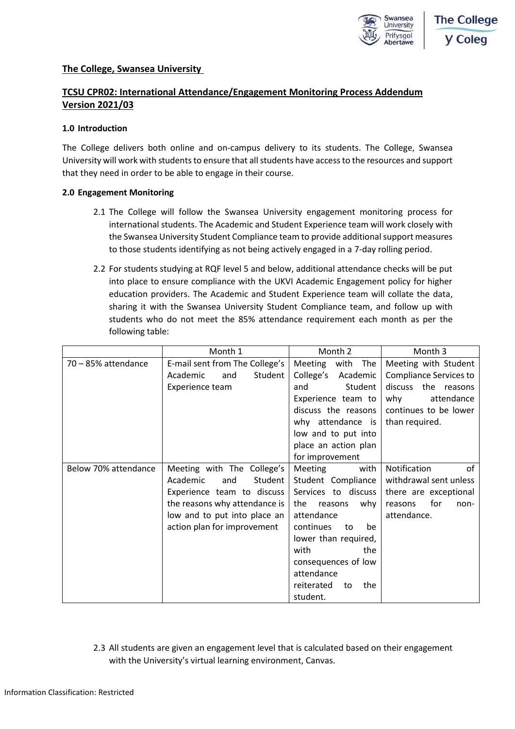

## **The College, Swansea University**

# **TCSU CPR02: International Attendance/Engagement Monitoring Process Addendum Version 2021/03**

### **1.0 Introduction**

The College delivers both online and on-campus delivery to its students. The College, Swansea University will work with students to ensure that all students have access to the resources and support that they need in order to be able to engage in their course.

### **2.0 Engagement Monitoring**

- 2.1 The College will follow the Swansea University engagement monitoring process for international students. The Academic and Student Experience team will work closely with the Swansea University Student Compliance team to provide additional support measures to those students identifying as not being actively engaged in a 7-day rolling period.
- 2.2 For students studying at RQF level 5 and below, additional attendance checks will be put into place to ensure compliance with the UKVI Academic Engagement policy for higher education providers. The Academic and Student Experience team will collate the data, sharing it with the Swansea University Student Compliance team, and follow up with students who do not meet the 85% attendance requirement each month as per the following table:

|                      | Month 1                        | Month 2                 | Month 3                       |
|----------------------|--------------------------------|-------------------------|-------------------------------|
| 70 - 85% attendance  | E-mail sent from The College's | Meeting with The        | Meeting with Student          |
|                      | Academic<br>and<br>Student     | College's Academic      | <b>Compliance Services to</b> |
|                      | Experience team                | Student<br>and          | discuss the reasons           |
|                      |                                | Experience team to      | why<br>attendance             |
|                      |                                | discuss the reasons     | continues to be lower         |
|                      |                                | why attendance is       | than required.                |
|                      |                                | low and to put into     |                               |
|                      |                                | place an action plan    |                               |
|                      |                                | for improvement         |                               |
| Below 70% attendance | Meeting with The College's     | Meeting<br>with         | Notification<br>0f            |
|                      | Academic<br>and<br>Student     | Student Compliance      | withdrawal sent unless        |
|                      | Experience team to discuss     | Services to discuss     | there are exceptional         |
|                      | the reasons why attendance is  | the<br>reasons<br>why   | for<br>reasons<br>non-        |
|                      | low and to put into place an   | attendance              | attendance.                   |
|                      | action plan for improvement    | continues<br>be<br>to   |                               |
|                      |                                | lower than required,    |                               |
|                      |                                | with<br>the             |                               |
|                      |                                | consequences of low     |                               |
|                      |                                | attendance              |                               |
|                      |                                | reiterated<br>the<br>to |                               |
|                      |                                | student.                |                               |

2.3 All students are given an engagement level that is calculated based on their engagement with the University's virtual learning environment, Canvas.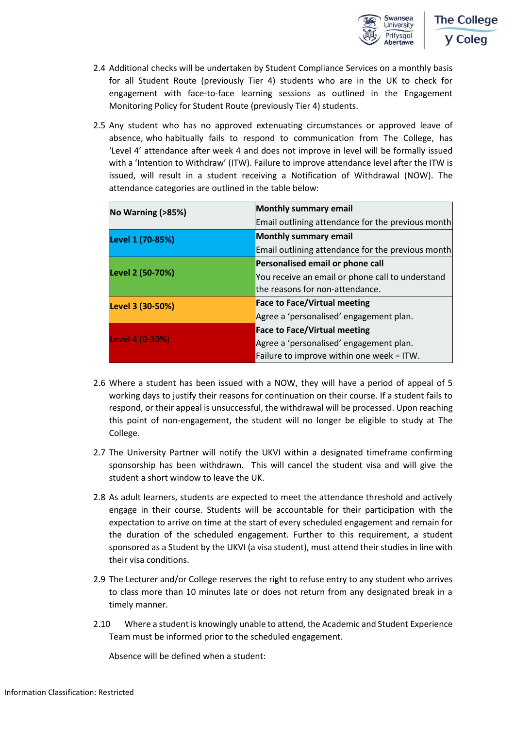

- 2.4 Additional checks will be undertaken by Student Compliance Services on a monthly basis for all Student Route (previously Tier 4) students who are in the UK to check for engagement with face-to-face learning sessions as outlined in the Engagement Monitoring Policy for Student Route (previously Tier 4) students.
- 2.5 Any student who has no approved extenuating circumstances or approved leave of absence, who habitually fails to respond to communication from The College, has 'Level 4' attendance after week 4 and does not improve in level will be formally issued with a 'Intention to Withdraw' (ITW). Failure to improve attendance level after the ITW is issued, will result in a student receiving a Notification of Withdrawal (NOW). The attendance categories are outlined in the table below:

| No Warning (>85%) | Monthly summary email                             |  |
|-------------------|---------------------------------------------------|--|
|                   | Email outlining attendance for the previous month |  |
| Level 1 (70-85%)  | Monthly summary email                             |  |
|                   | Email outlining attendance for the previous month |  |
|                   | Personalised email or phone call                  |  |
| Level 2 (50-70%)  | You receive an email or phone call to understand  |  |
|                   | the reasons for non-attendance.                   |  |
| Level 3 (30-50%)  | <b>Face to Face/Virtual meeting</b>               |  |
|                   | Agree a 'personalised' engagement plan.           |  |
|                   | <b>Face to Face/Virtual meeting</b>               |  |
| Level 4 (0-30%)   | Agree a 'personalised' engagement plan.           |  |
|                   | Failure to improve within one week = ITW.         |  |

- 2.6 Where a student has been issued with a NOW, they will have a period of appeal of 5 working days to justify their reasons for continuation on their course. If a student fails to respond, or their appeal is unsuccessful, the withdrawal will be processed. Upon reaching this point of non-engagement, the student will no longer be eligible to study at The College.
- 2.7 The University Partner will notify the UKVI within a designated timeframe confirming sponsorship has been withdrawn. This will cancel the student visa and will give the student a short window to leave the UK.
- 2.8 As adult learners, students are expected to meet the attendance threshold and actively engage in their course. Students will be accountable for their participation with the expectation to arrive on time at the start of every scheduled engagement and remain for the duration of the scheduled engagement. Further to this requirement, a student sponsored as a Student by the UKVI (a visa student), must attend their studies in line with their visa conditions.
- 2.9 The Lecturer and/or College reserves the right to refuse entry to any student who arrives to class more than 10 minutes late or does not return from any designated break in a timely manner.
- 2.10 Where a student is knowingly unable to attend, the Academic and Student Experience Team must be informed prior to the scheduled engagement.

Absence will be defined when a student: